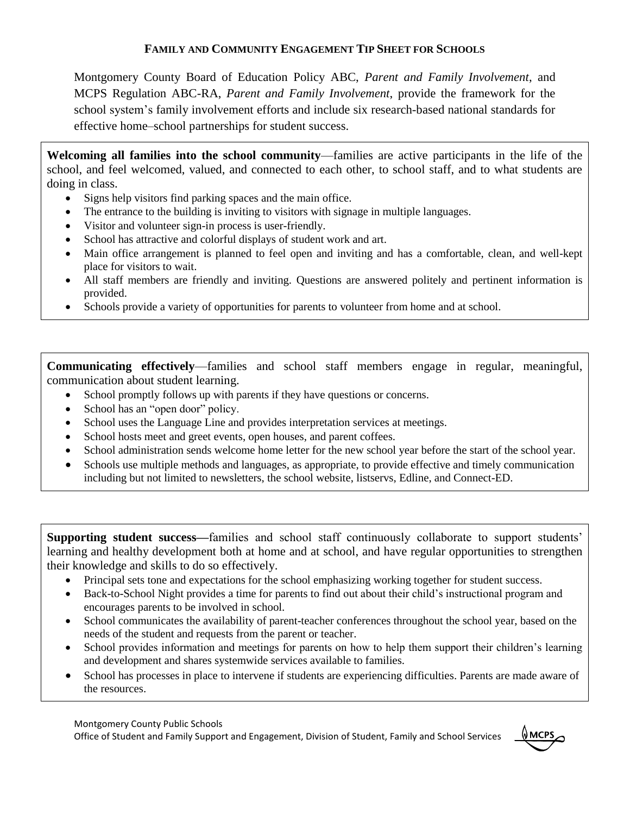## **FAMILY AND COMMUNITY ENGAGEMENT TIP SHEET FOR SCHOOLS**

Montgomery County Board of Education Policy ABC, *Parent and Family Involvement*, and MCPS Regulation ABC-RA, *Parent and Family Involvement*, provide the framework for the school system's family involvement efforts and include six research-based national standards for effective home–school partnerships for student success.

**Welcoming all families into the school community**—families are active participants in the life of the school, and feel welcomed, valued, and connected to each other, to school staff, and to what students are doing in class.

- Signs help visitors find parking spaces and the main office.
- The entrance to the building is inviting to visitors with signage in multiple languages.
- Visitor and volunteer sign-in process is user-friendly.
- School has attractive and colorful displays of student work and art.
- Main office arrangement is planned to feel open and inviting and has a comfortable, clean, and well-kept place for visitors to wait.
- All staff members are friendly and inviting. Questions are answered politely and pertinent information is provided.
- Schools provide a variety of opportunities for parents to volunteer from home and at school.

**Communicating effectively**—families and school staff members engage in regular, meaningful, communication about student learning.

- School promptly follows up with parents if they have questions or concerns.
- School has an "open door" policy.
- School uses the Language Line and provides interpretation services at meetings.
- School hosts meet and greet events, open houses, and parent coffees.
- School administration sends welcome home letter for the new school year before the start of the school year.
- Schools use multiple methods and languages, as appropriate, to provide effective and timely communication including but not limited to newsletters, the school website, listservs, Edline, and Connect-ED.

**Supporting student success—**families and school staff continuously collaborate to support students' learning and healthy development both at home and at school, and have regular opportunities to strengthen their knowledge and skills to do so effectively.

- Principal sets tone and expectations for the school emphasizing working together for student success.
- Back-to-School Night provides a time for parents to find out about their child's instructional program and encourages parents to be involved in school.
- School communicates the availability of parent-teacher conferences throughout the school year, based on the needs of the student and requests from the parent or teacher.
- School provides information and meetings for parents on how to help them support their children's learning and development and shares systemwide services available to families.
- School has processes in place to intervene if students are experiencing difficulties. Parents are made aware of the resources.

Montgomery County Public Schools

Office of Student and Family Support and Engagement, Division of Student, Family and School Services